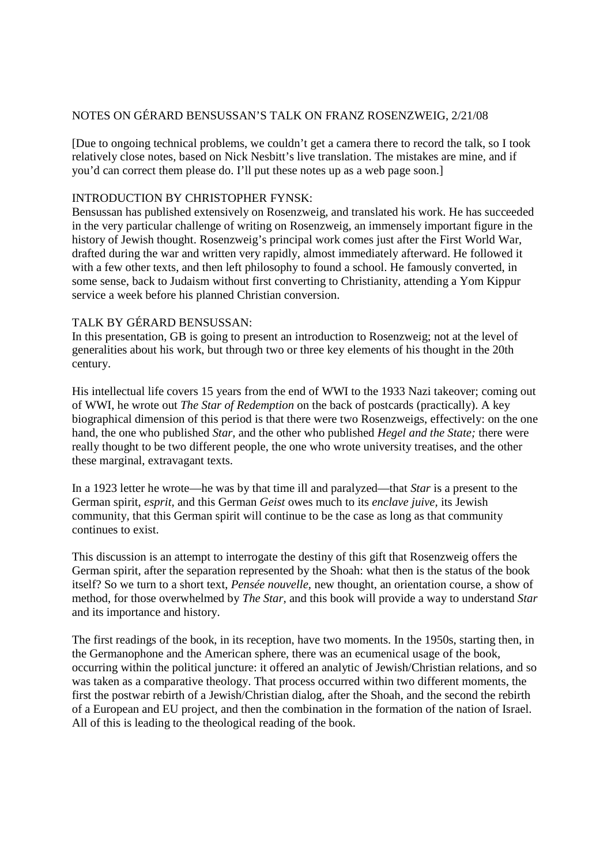## NOTES ON GÉRARD BENSUSSAN'S TALK ON FRANZ ROSENZWEIG, 2/21/08

[Due to ongoing technical problems, we couldn't get a camera there to record the talk, so I took relatively close notes, based on Nick Nesbitt's live translation. The mistakes are mine, and if you'd can correct them please do. I'll put these notes up as a web page soon.]

## INTRODUCTION BY CHRISTOPHER FYNSK:

Bensussan has published extensively on Rosenzweig, and translated his work. He has succeeded in the very particular challenge of writing on Rosenzweig, an immensely important figure in the history of Jewish thought. Rosenzweig's principal work comes just after the First World War, drafted during the war and written very rapidly, almost immediately afterward. He followed it with a few other texts, and then left philosophy to found a school. He famously converted, in some sense, back to Judaism without first converting to Christianity, attending a Yom Kippur service a week before his planned Christian conversion.

## TALK BY GÉRARD BENSUSSAN:

In this presentation, GB is going to present an introduction to Rosenzweig; not at the level of generalities about his work, but through two or three key elements of his thought in the 20th century.

His intellectual life covers 15 years from the end of WWI to the 1933 Nazi takeover; coming out of WWI, he wrote out *The Star of Redemption* on the back of postcards (practically). A key biographical dimension of this period is that there were two Rosenzweigs, effectively: on the one hand, the one who published *Star,* and the other who published *Hegel and the State;* there were really thought to be two different people, the one who wrote university treatises, and the other these marginal, extravagant texts.

In a 1923 letter he wrote—he was by that time ill and paralyzed—that *Star* is a present to the German spirit, *esprit,* and this German *Geist* owes much to its *enclave juive,* its Jewish community, that this German spirit will continue to be the case as long as that community continues to exist.

This discussion is an attempt to interrogate the destiny of this gift that Rosenzweig offers the German spirit, after the separation represented by the Shoah: what then is the status of the book itself? So we turn to a short text, *Pensée nouvelle,* new thought, an orientation course, a show of method, for those overwhelmed by *The Star,* and this book will provide a way to understand *Star* and its importance and history.

The first readings of the book, in its reception, have two moments. In the 1950s, starting then, in the Germanophone and the American sphere, there was an ecumenical usage of the book, occurring within the political juncture: it offered an analytic of Jewish/Christian relations, and so was taken as a comparative theology. That process occurred within two different moments, the first the postwar rebirth of a Jewish/Christian dialog, after the Shoah, and the second the rebirth of a European and EU project, and then the combination in the formation of the nation of Israel. All of this is leading to the theological reading of the book.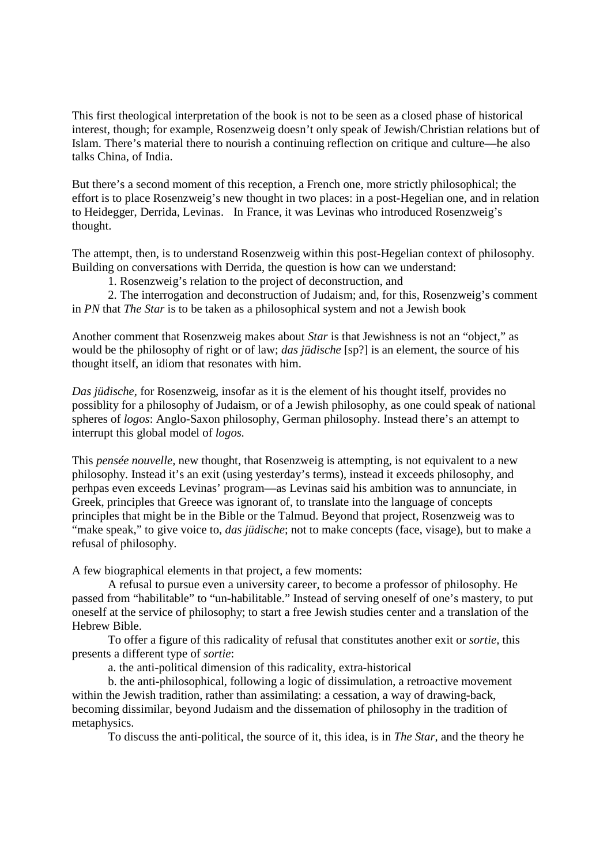This first theological interpretation of the book is not to be seen as a closed phase of historical interest, though; for example, Rosenzweig doesn't only speak of Jewish/Christian relations but of Islam. There's material there to nourish a continuing reflection on critique and culture—he also talks China, of India.

But there's a second moment of this reception, a French one, more strictly philosophical; the effort is to place Rosenzweig's new thought in two places: in a post-Hegelian one, and in relation to Heidegger, Derrida, Levinas. In France, it was Levinas who introduced Rosenzweig's thought.

The attempt, then, is to understand Rosenzweig within this post-Hegelian context of philosophy. Building on conversations with Derrida, the question is how can we understand:

1. Rosenzweig's relation to the project of deconstruction, and

 2. The interrogation and deconstruction of Judaism; and, for this, Rosenzweig's comment in *PN* that *The Star* is to be taken as a philosophical system and not a Jewish book

Another comment that Rosenzweig makes about *Star* is that Jewishness is not an "object," as would be the philosophy of right or of law; *das jüdische* [sp?] is an element, the source of his thought itself, an idiom that resonates with him.

*Das jüdische,* for Rosenzweig, insofar as it is the element of his thought itself, provides no possiblity for a philosophy of Judaism, or of a Jewish philosophy, as one could speak of national spheres of *logos*: Anglo-Saxon philosophy, German philosophy. Instead there's an attempt to interrupt this global model of *logos.*

This *pensée nouvelle,* new thought, that Rosenzweig is attempting, is not equivalent to a new philosophy. Instead it's an exit (using yesterday's terms), instead it exceeds philosophy, and perhpas even exceeds Levinas' program—as Levinas said his ambition was to annunciate, in Greek, principles that Greece was ignorant of, to translate into the language of concepts principles that might be in the Bible or the Talmud. Beyond that project, Rosenzweig was to "make speak," to give voice to, *das jüdische*; not to make concepts (face, visage), but to make a refusal of philosophy.

A few biographical elements in that project, a few moments:

 A refusal to pursue even a university career, to become a professor of philosophy. He passed from "habilitable" to "un-habilitable." Instead of serving oneself of one's mastery, to put oneself at the service of philosophy; to start a free Jewish studies center and a translation of the Hebrew Bible.

 To offer a figure of this radicality of refusal that constitutes another exit or *sortie,* this presents a different type of *sortie*:

a. the anti-political dimension of this radicality, extra-historical

 b. the anti-philosophical, following a logic of dissimulation, a retroactive movement within the Jewish tradition, rather than assimilating: a cessation, a way of drawing-back, becoming dissimilar, beyond Judaism and the dissemation of philosophy in the tradition of metaphysics.

To discuss the anti-political, the source of it, this idea, is in *The Star,* and the theory he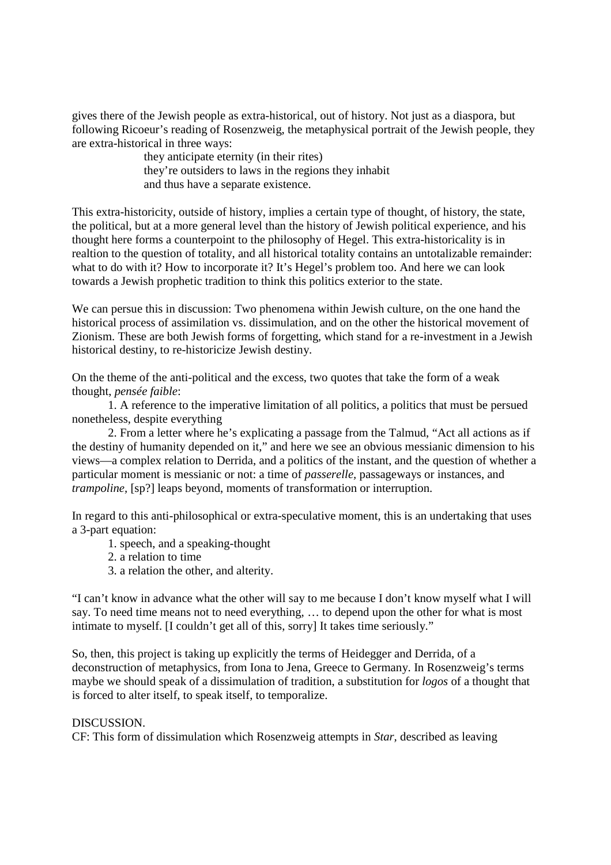gives there of the Jewish people as extra-historical, out of history. Not just as a diaspora, but following Ricoeur's reading of Rosenzweig, the metaphysical portrait of the Jewish people, they are extra-historical in three ways:

> they anticipate eternity (in their rites) they're outsiders to laws in the regions they inhabit and thus have a separate existence.

This extra-historicity, outside of history, implies a certain type of thought, of history, the state, the political, but at a more general level than the history of Jewish political experience, and his thought here forms a counterpoint to the philosophy of Hegel. This extra-historicality is in realtion to the question of totality, and all historical totality contains an untotalizable remainder: what to do with it? How to incorporate it? It's Hegel's problem too. And here we can look towards a Jewish prophetic tradition to think this politics exterior to the state.

We can persue this in discussion: Two phenomena within Jewish culture, on the one hand the historical process of assimilation vs. dissimulation, and on the other the historical movement of Zionism. These are both Jewish forms of forgetting, which stand for a re-investment in a Jewish historical destiny, to re-historicize Jewish destiny.

On the theme of the anti-political and the excess, two quotes that take the form of a weak thought, *pensée faible*:

 1. A reference to the imperative limitation of all politics, a politics that must be persued nonetheless, despite everything

 2. From a letter where he's explicating a passage from the Talmud, "Act all actions as if the destiny of humanity depended on it," and here we see an obvious messianic dimension to his views—a complex relation to Derrida, and a politics of the instant, and the question of whether a particular moment is messianic or not: a time of *passerelle,* passageways or instances, and *trampoline,* [sp?] leaps beyond, moments of transformation or interruption.

In regard to this anti-philosophical or extra-speculative moment, this is an undertaking that uses a 3-part equation:

- 1. speech, and a speaking-thought
- 2. a relation to time
- 3. a relation the other, and alterity.

"I can't know in advance what the other will say to me because I don't know myself what I will say. To need time means not to need everything, … to depend upon the other for what is most intimate to myself. [I couldn't get all of this, sorry] It takes time seriously."

So, then, this project is taking up explicitly the terms of Heidegger and Derrida, of a deconstruction of metaphysics, from Iona to Jena, Greece to Germany. In Rosenzweig's terms maybe we should speak of a dissimulation of tradition, a substitution for *logos* of a thought that is forced to alter itself, to speak itself, to temporalize.

## DISCUSSION.

CF: This form of dissimulation which Rosenzweig attempts in *Star,* described as leaving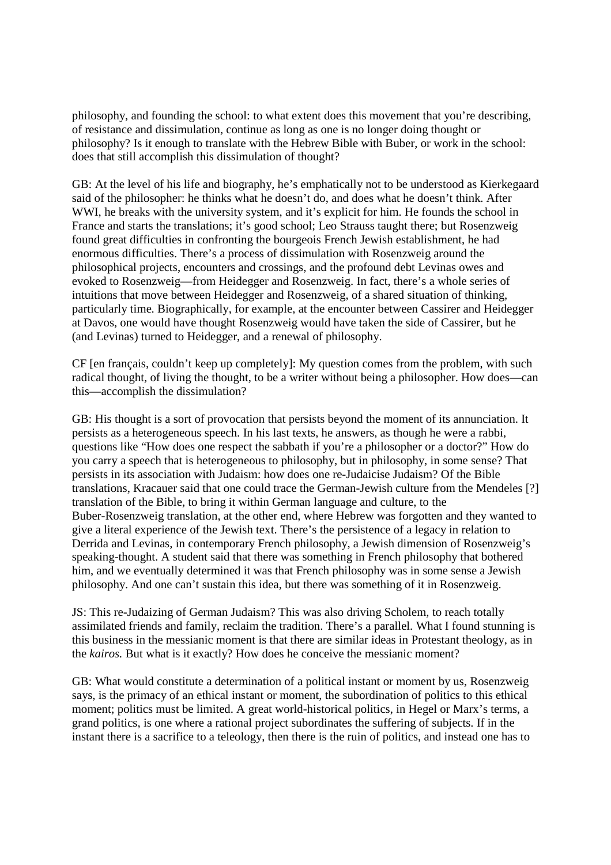philosophy, and founding the school: to what extent does this movement that you're describing, of resistance and dissimulation, continue as long as one is no longer doing thought or philosophy? Is it enough to translate with the Hebrew Bible with Buber, or work in the school: does that still accomplish this dissimulation of thought?

GB: At the level of his life and biography, he's emphatically not to be understood as Kierkegaard said of the philosopher: he thinks what he doesn't do, and does what he doesn't think. After WWI, he breaks with the university system, and it's explicit for him. He founds the school in France and starts the translations; it's good school; Leo Strauss taught there; but Rosenzweig found great difficulties in confronting the bourgeois French Jewish establishment, he had enormous difficulties. There's a process of dissimulation with Rosenzweig around the philosophical projects, encounters and crossings, and the profound debt Levinas owes and evoked to Rosenzweig—from Heidegger and Rosenzweig. In fact, there's a whole series of intuitions that move between Heidegger and Rosenzweig, of a shared situation of thinking, particularly time. Biographically, for example, at the encounter between Cassirer and Heidegger at Davos, one would have thought Rosenzweig would have taken the side of Cassirer, but he (and Levinas) turned to Heidegger, and a renewal of philosophy.

CF [en français, couldn't keep up completely]: My question comes from the problem, with such radical thought, of living the thought, to be a writer without being a philosopher. How does—can this—accomplish the dissimulation?

GB: His thought is a sort of provocation that persists beyond the moment of its annunciation. It persists as a heterogeneous speech. In his last texts, he answers, as though he were a rabbi, questions like "How does one respect the sabbath if you're a philosopher or a doctor?" How do you carry a speech that is heterogeneous to philosophy, but in philosophy, in some sense? That persists in its association with Judaism: how does one re-Judaicise Judaism? Of the Bible translations, Kracauer said that one could trace the German-Jewish culture from the Mendeles [?] translation of the Bible, to bring it within German language and culture, to the Buber-Rosenzweig translation, at the other end, where Hebrew was forgotten and they wanted to give a literal experience of the Jewish text. There's the persistence of a legacy in relation to Derrida and Levinas, in contemporary French philosophy, a Jewish dimension of Rosenzweig's speaking-thought. A student said that there was something in French philosophy that bothered him, and we eventually determined it was that French philosophy was in some sense a Jewish philosophy. And one can't sustain this idea, but there was something of it in Rosenzweig.

JS: This re-Judaizing of German Judaism? This was also driving Scholem, to reach totally assimilated friends and family, reclaim the tradition. There's a parallel. What I found stunning is this business in the messianic moment is that there are similar ideas in Protestant theology, as in the *kairos.* But what is it exactly? How does he conceive the messianic moment?

GB: What would constitute a determination of a political instant or moment by us, Rosenzweig says, is the primacy of an ethical instant or moment, the subordination of politics to this ethical moment; politics must be limited. A great world-historical politics, in Hegel or Marx's terms, a grand politics, is one where a rational project subordinates the suffering of subjects. If in the instant there is a sacrifice to a teleology, then there is the ruin of politics, and instead one has to